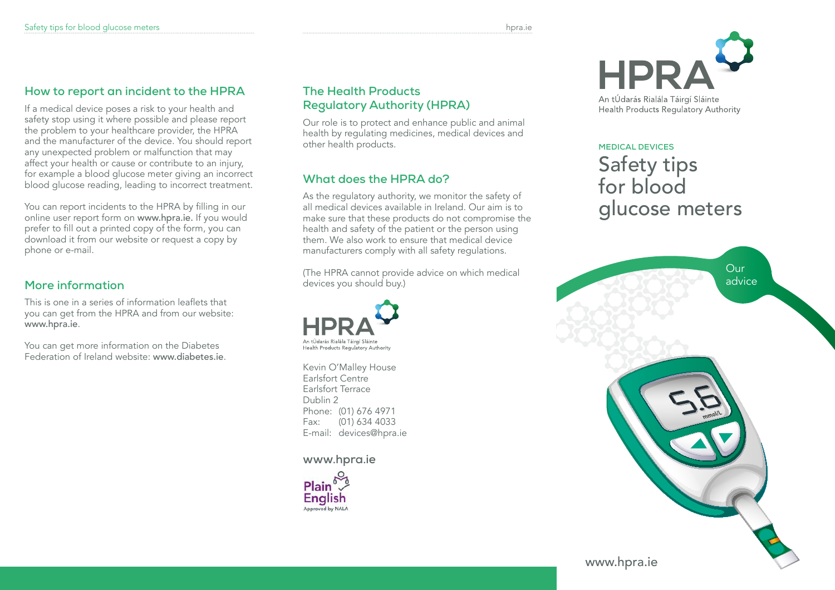## **How to report an incident to the HPRA**

If a medical device poses a risk to your health and safety stop using it where possible and please report the problem to your healthcare provider, the HPRA and the manufacturer of the device. You should report any unexpected problem or malfunction that may affect your health or cause or contribute to an injury, for example a blood glucose meter giving an incorrect blood glucose reading, leading to incorrect treatment.

You can report incidents to the HPRA by filling in our online user report form on www.hpra.ie. If you would prefer to fill out a printed copy of the form, you can download it from our website or request a copy by phone or e-mail.

## **More information**

This is one in a series of information leaflets that you can get from the HPRA and from our website: www.hpra.ie.

You can get more information on the Diabetes Federation of Ireland website: www.diabetes.ie.

#### **The Health Products Regulatory Authority (HPRA)**

Our role is to protect and enhance public and animal health by regulating medicines, medical devices and other health products.

## **What does the HPRA do?**

As the regulatory authority, we monitor the safety of all medical devices available in Ireland. Our aim is to make sure that these products do not compromise the health and safety of the patient or the person using them. We also work to ensure that medical device manufacturers comply with all safety regulations.

(The HPRA cannot provide advice on which medical devices you should buy.)



Kevin O'Malley House Earlsfort Centre Earlsfort Terrace Dublin 2 Phone: (01) 676 4971 Fax: (01) 634 4033 E-mail: devices@hpra.ie

#### **www.hpra.ie**





## **Medical Devices** Safety tips for blood